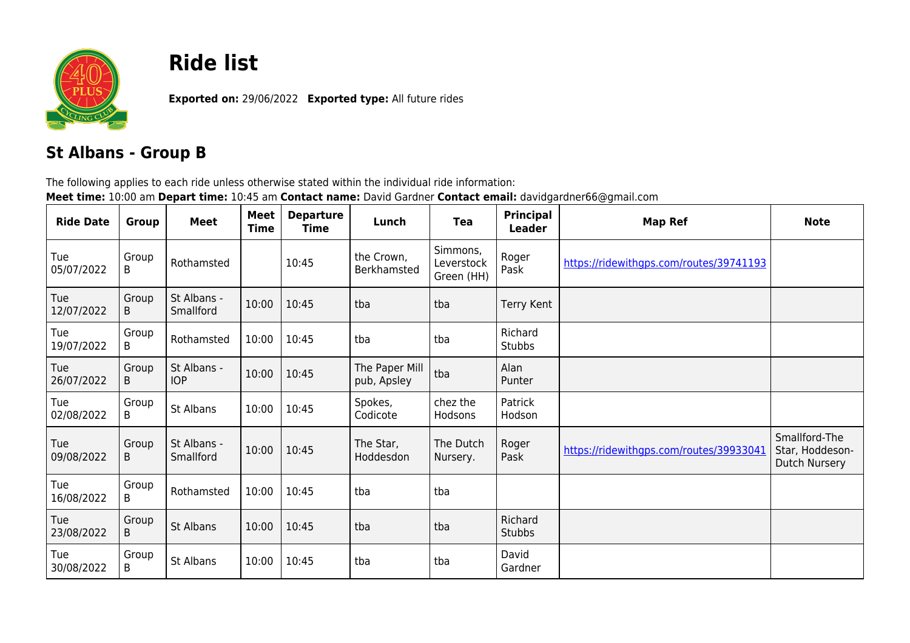

## **Ride list**

**Exported on:** 29/06/2022 **Exported type:** All future rides

## **St Albans - Group B**

The following applies to each ride unless otherwise stated within the individual ride information: **Meet time:** 10:00 am **Depart time:** 10:45 am **Contact name:** David Gardner **Contact email:** davidgardner66@gmail.com

| <b>Ride Date</b>  | Group      | <b>Meet</b>               | Meet<br><b>Time</b> | <b>Departure</b><br>Time | Lunch                         | <b>Tea</b>                           | Principal<br><b>Leader</b> | <b>Map Ref</b>                          | <b>Note</b>                                              |
|-------------------|------------|---------------------------|---------------------|--------------------------|-------------------------------|--------------------------------------|----------------------------|-----------------------------------------|----------------------------------------------------------|
| Tue<br>05/07/2022 | Group<br>B | Rothamsted                |                     | 10:45                    | the Crown,<br>Berkhamsted     | Simmons,<br>Leverstock<br>Green (HH) | Roger<br>Pask              | https://ridewithgps.com/routes/39741193 |                                                          |
| Tue<br>12/07/2022 | Group<br>B | St Albans -<br>Smallford  | 10:00               | 10:45                    | tba                           | tba                                  | <b>Terry Kent</b>          |                                         |                                                          |
| Tue<br>19/07/2022 | Group<br>B | Rothamsted                | 10:00               | 10:45                    | tba                           | tba                                  | Richard<br>Stubbs          |                                         |                                                          |
| Tue<br>26/07/2022 | Group<br>B | St Albans -<br><b>IOP</b> | 10:00               | 10:45                    | The Paper Mill<br>pub, Apsley | tba                                  | Alan<br>Punter             |                                         |                                                          |
| Tue<br>02/08/2022 | Group<br>B | St Albans                 | 10:00               | 10:45                    | Spokes,<br>Codicote           | chez the<br>Hodsons                  | Patrick<br>Hodson          |                                         |                                                          |
| Tue<br>09/08/2022 | Group<br>B | St Albans -<br>Smallford  | 10:00               | 10:45                    | The Star,<br>Hoddesdon        | The Dutch<br>Nursery.                | Roger<br>Pask              | https://ridewithgps.com/routes/39933041 | Smallford-The<br>Star, Hoddeson-<br><b>Dutch Nursery</b> |
| Tue<br>16/08/2022 | Group<br>B | Rothamsted                | 10:00               | 10:45                    | tba                           | tba                                  |                            |                                         |                                                          |
| Tue<br>23/08/2022 | Group<br>B | St Albans                 | 10:00               | 10:45                    | tba                           | tba                                  | Richard<br><b>Stubbs</b>   |                                         |                                                          |
| Tue<br>30/08/2022 | Group<br>B | St Albans                 | 10:00               | 10:45                    | tba                           | tba                                  | David<br>Gardner           |                                         |                                                          |